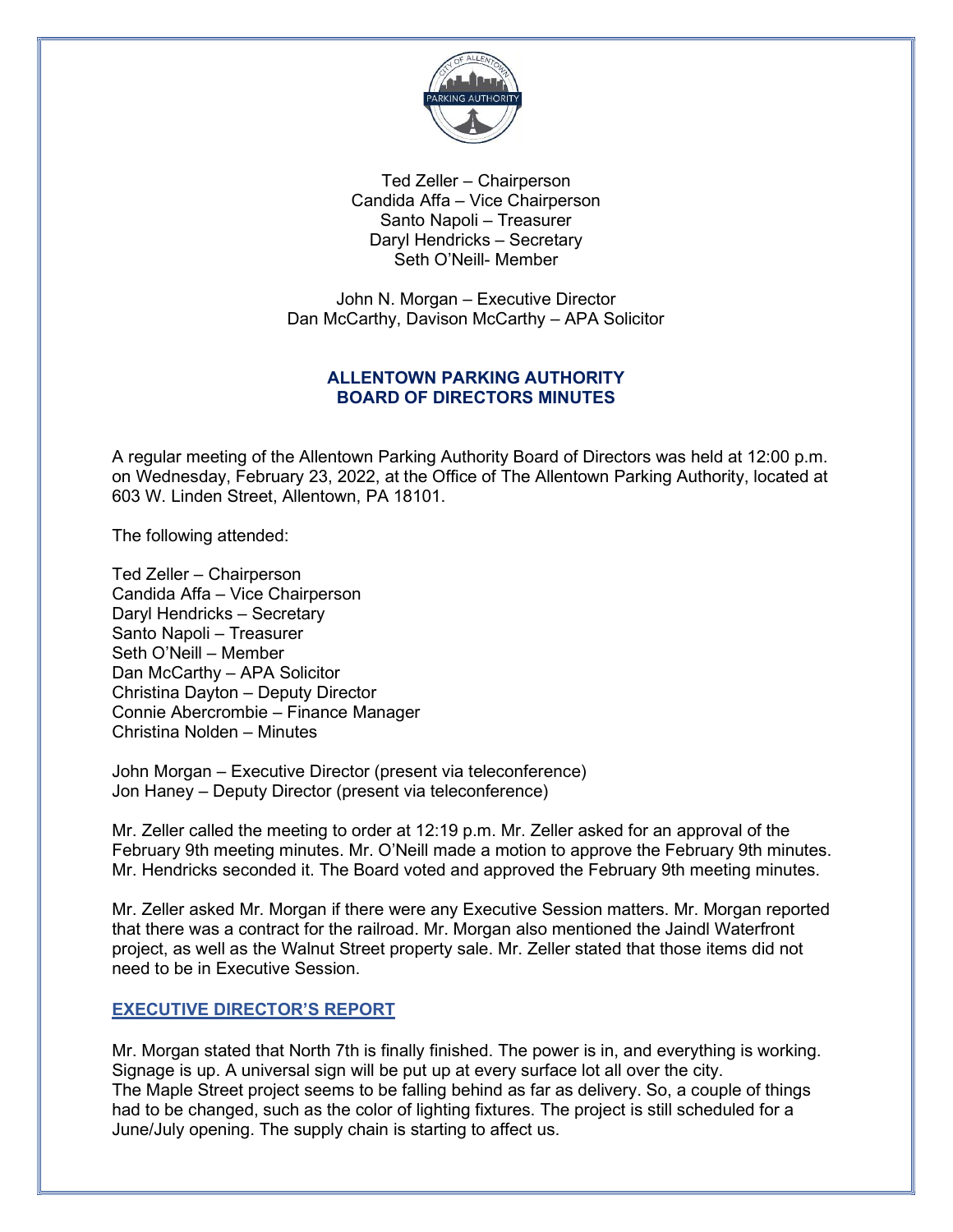

Ted Zeller – Chairperson Candida Affa – Vice Chairperson Santo Napoli – Treasurer Daryl Hendricks – Secretary Seth O'Neill- Member

John N. Morgan – Executive Director Dan McCarthy, Davison McCarthy – APA Solicitor

# ALLENTOWN PARKING AUTHORITY BOARD OF DIRECTORS MINUTES

A regular meeting of the Allentown Parking Authority Board of Directors was held at 12:00 p.m. on Wednesday, February 23, 2022, at the Office of The Allentown Parking Authority, located at 603 W. Linden Street, Allentown, PA 18101.

The following attended:

Ted Zeller – Chairperson Candida Affa – Vice Chairperson Daryl Hendricks – Secretary Santo Napoli – Treasurer Seth O'Neill – Member Dan McCarthy – APA Solicitor Christina Dayton – Deputy Director Connie Abercrombie – Finance Manager Christina Nolden – Minutes

John Morgan – Executive Director (present via teleconference) Jon Haney – Deputy Director (present via teleconference)

Mr. Zeller called the meeting to order at 12:19 p.m. Mr. Zeller asked for an approval of the February 9th meeting minutes. Mr. O'Neill made a motion to approve the February 9th minutes. Mr. Hendricks seconded it. The Board voted and approved the February 9th meeting minutes.

Mr. Zeller asked Mr. Morgan if there were any Executive Session matters. Mr. Morgan reported that there was a contract for the railroad. Mr. Morgan also mentioned the Jaindl Waterfront project, as well as the Walnut Street property sale. Mr. Zeller stated that those items did not need to be in Executive Session.

## EXECUTIVE DIRECTOR'S REPORT

Mr. Morgan stated that North 7th is finally finished. The power is in, and everything is working. Signage is up. A universal sign will be put up at every surface lot all over the city. The Maple Street project seems to be falling behind as far as delivery. So, a couple of things had to be changed, such as the color of lighting fixtures. The project is still scheduled for a June/July opening. The supply chain is starting to affect us.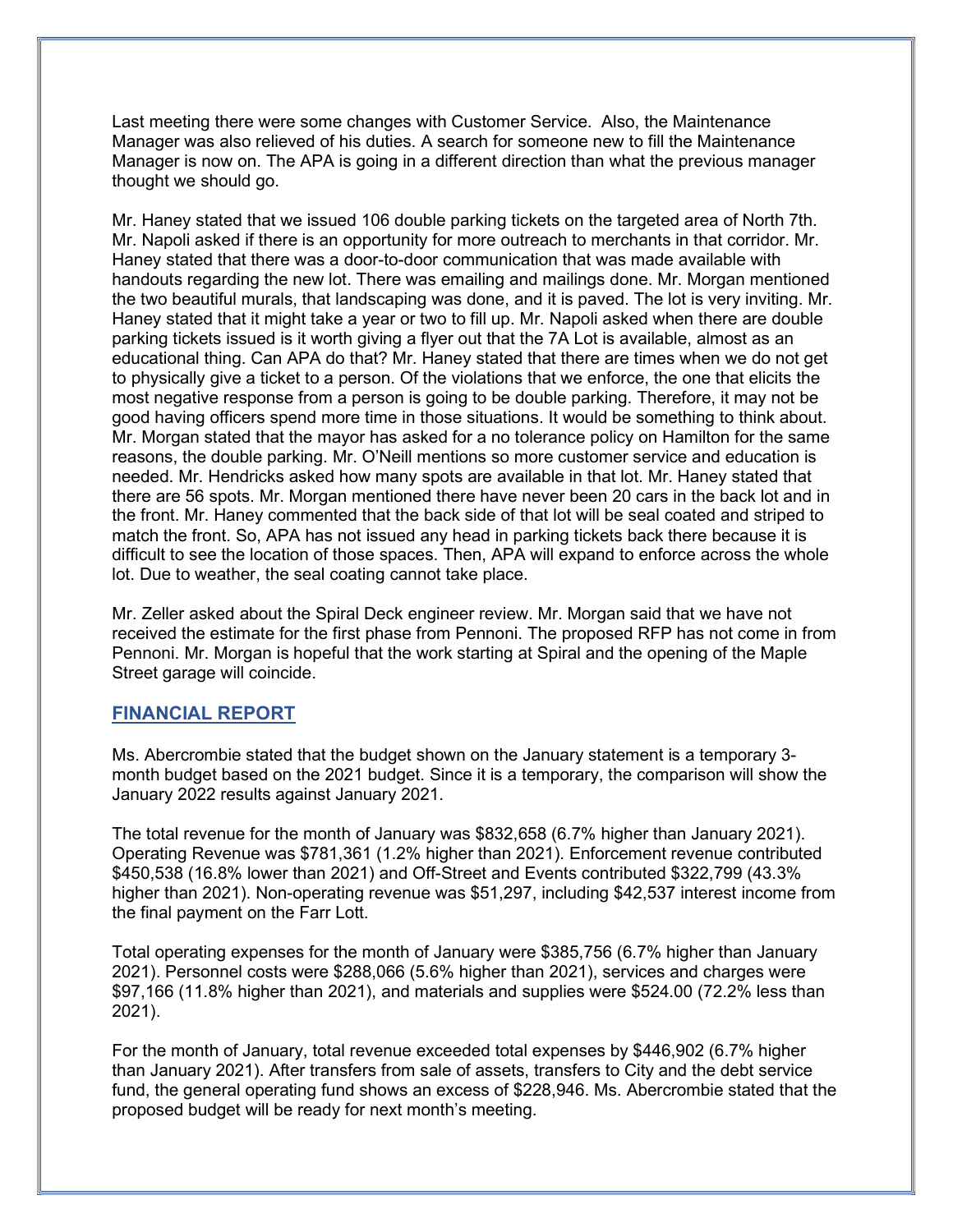Last meeting there were some changes with Customer Service. Also, the Maintenance Manager was also relieved of his duties. A search for someone new to fill the Maintenance Manager is now on. The APA is going in a different direction than what the previous manager thought we should go.

Mr. Haney stated that we issued 106 double parking tickets on the targeted area of North 7th. Mr. Napoli asked if there is an opportunity for more outreach to merchants in that corridor. Mr. Haney stated that there was a door-to-door communication that was made available with handouts regarding the new lot. There was emailing and mailings done. Mr. Morgan mentioned the two beautiful murals, that landscaping was done, and it is paved. The lot is very inviting. Mr. Haney stated that it might take a year or two to fill up. Mr. Napoli asked when there are double parking tickets issued is it worth giving a flyer out that the 7A Lot is available, almost as an educational thing. Can APA do that? Mr. Haney stated that there are times when we do not get to physically give a ticket to a person. Of the violations that we enforce, the one that elicits the most negative response from a person is going to be double parking. Therefore, it may not be good having officers spend more time in those situations. It would be something to think about. Mr. Morgan stated that the mayor has asked for a no tolerance policy on Hamilton for the same reasons, the double parking. Mr. O'Neill mentions so more customer service and education is needed. Mr. Hendricks asked how many spots are available in that lot. Mr. Haney stated that there are 56 spots. Mr. Morgan mentioned there have never been 20 cars in the back lot and in the front. Mr. Haney commented that the back side of that lot will be seal coated and striped to match the front. So, APA has not issued any head in parking tickets back there because it is difficult to see the location of those spaces. Then, APA will expand to enforce across the whole lot. Due to weather, the seal coating cannot take place.

Mr. Zeller asked about the Spiral Deck engineer review. Mr. Morgan said that we have not received the estimate for the first phase from Pennoni. The proposed RFP has not come in from Pennoni. Mr. Morgan is hopeful that the work starting at Spiral and the opening of the Maple Street garage will coincide.

### FINANCIAL REPORT

Ms. Abercrombie stated that the budget shown on the January statement is a temporary 3 month budget based on the 2021 budget. Since it is a temporary, the comparison will show the January 2022 results against January 2021.

The total revenue for the month of January was \$832,658 (6.7% higher than January 2021). Operating Revenue was \$781,361 (1.2% higher than 2021). Enforcement revenue contributed \$450,538 (16.8% lower than 2021) and Off-Street and Events contributed \$322,799 (43.3% higher than 2021). Non-operating revenue was \$51,297, including \$42,537 interest income from the final payment on the Farr Lott.

Total operating expenses for the month of January were \$385,756 (6.7% higher than January 2021). Personnel costs were \$288,066 (5.6% higher than 2021), services and charges were \$97,166 (11.8% higher than 2021), and materials and supplies were \$524.00 (72.2% less than 2021).

For the month of January, total revenue exceeded total expenses by \$446,902 (6.7% higher than January 2021). After transfers from sale of assets, transfers to City and the debt service fund, the general operating fund shows an excess of \$228,946. Ms. Abercrombie stated that the proposed budget will be ready for next month's meeting.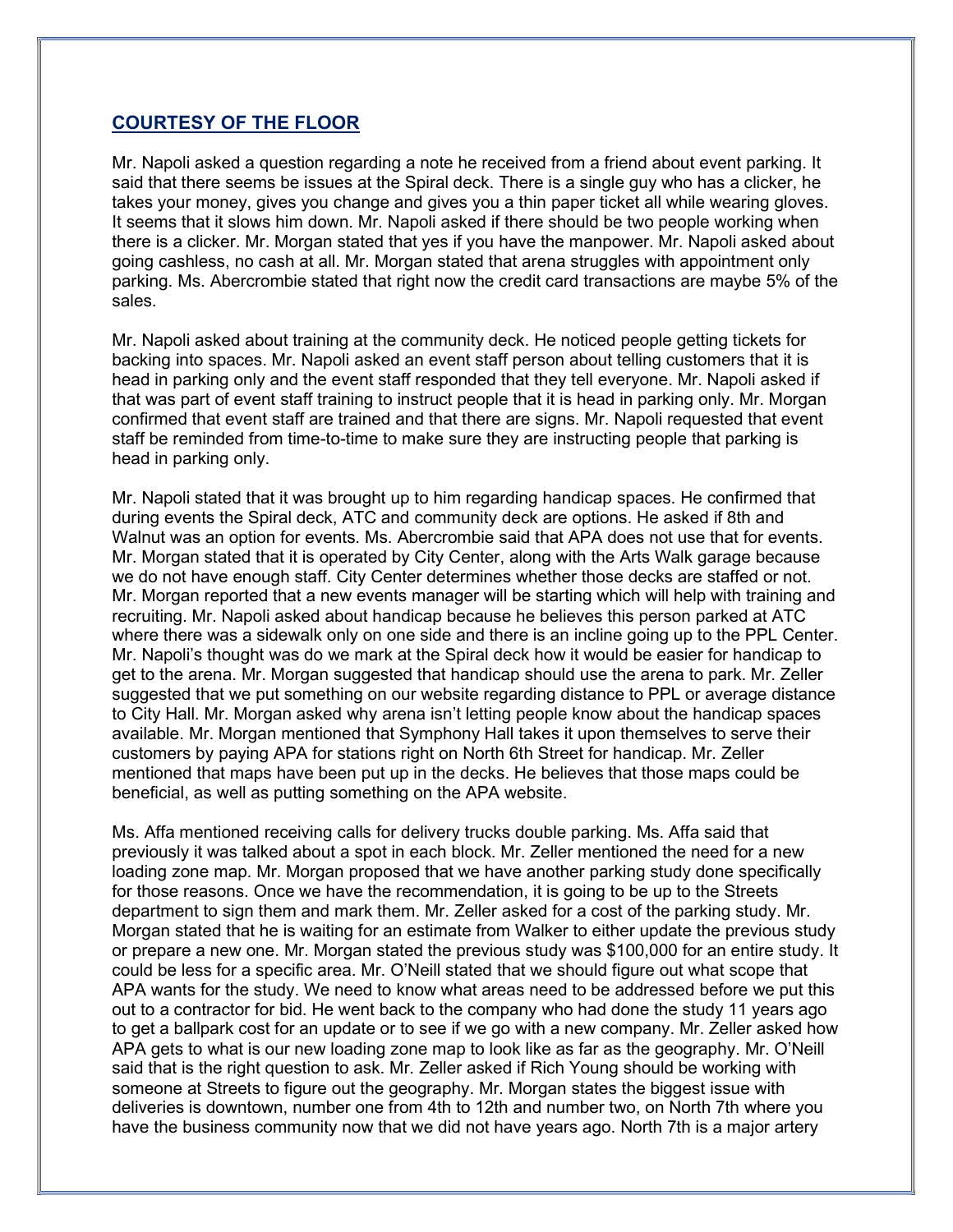## COURTESY OF THE FLOOR

Mr. Napoli asked a question regarding a note he received from a friend about event parking. It said that there seems be issues at the Spiral deck. There is a single guy who has a clicker, he takes your money, gives you change and gives you a thin paper ticket all while wearing gloves. It seems that it slows him down. Mr. Napoli asked if there should be two people working when there is a clicker. Mr. Morgan stated that yes if you have the manpower. Mr. Napoli asked about going cashless, no cash at all. Mr. Morgan stated that arena struggles with appointment only parking. Ms. Abercrombie stated that right now the credit card transactions are maybe 5% of the sales.

Mr. Napoli asked about training at the community deck. He noticed people getting tickets for backing into spaces. Mr. Napoli asked an event staff person about telling customers that it is head in parking only and the event staff responded that they tell everyone. Mr. Napoli asked if that was part of event staff training to instruct people that it is head in parking only. Mr. Morgan confirmed that event staff are trained and that there are signs. Mr. Napoli requested that event staff be reminded from time-to-time to make sure they are instructing people that parking is head in parking only.

Mr. Napoli stated that it was brought up to him regarding handicap spaces. He confirmed that during events the Spiral deck, ATC and community deck are options. He asked if 8th and Walnut was an option for events. Ms. Abercrombie said that APA does not use that for events. Mr. Morgan stated that it is operated by City Center, along with the Arts Walk garage because we do not have enough staff. City Center determines whether those decks are staffed or not. Mr. Morgan reported that a new events manager will be starting which will help with training and recruiting. Mr. Napoli asked about handicap because he believes this person parked at ATC where there was a sidewalk only on one side and there is an incline going up to the PPL Center. Mr. Napoli's thought was do we mark at the Spiral deck how it would be easier for handicap to get to the arena. Mr. Morgan suggested that handicap should use the arena to park. Mr. Zeller suggested that we put something on our website regarding distance to PPL or average distance to City Hall. Mr. Morgan asked why arena isn't letting people know about the handicap spaces available. Mr. Morgan mentioned that Symphony Hall takes it upon themselves to serve their customers by paying APA for stations right on North 6th Street for handicap. Mr. Zeller mentioned that maps have been put up in the decks. He believes that those maps could be beneficial, as well as putting something on the APA website.

Ms. Affa mentioned receiving calls for delivery trucks double parking. Ms. Affa said that previously it was talked about a spot in each block. Mr. Zeller mentioned the need for a new loading zone map. Mr. Morgan proposed that we have another parking study done specifically for those reasons. Once we have the recommendation, it is going to be up to the Streets department to sign them and mark them. Mr. Zeller asked for a cost of the parking study. Mr. Morgan stated that he is waiting for an estimate from Walker to either update the previous study or prepare a new one. Mr. Morgan stated the previous study was \$100,000 for an entire study. It could be less for a specific area. Mr. O'Neill stated that we should figure out what scope that APA wants for the study. We need to know what areas need to be addressed before we put this out to a contractor for bid. He went back to the company who had done the study 11 years ago to get a ballpark cost for an update or to see if we go with a new company. Mr. Zeller asked how APA gets to what is our new loading zone map to look like as far as the geography. Mr. O'Neill said that is the right question to ask. Mr. Zeller asked if Rich Young should be working with someone at Streets to figure out the geography. Mr. Morgan states the biggest issue with deliveries is downtown, number one from 4th to 12th and number two, on North 7th where you have the business community now that we did not have years ago. North 7th is a major artery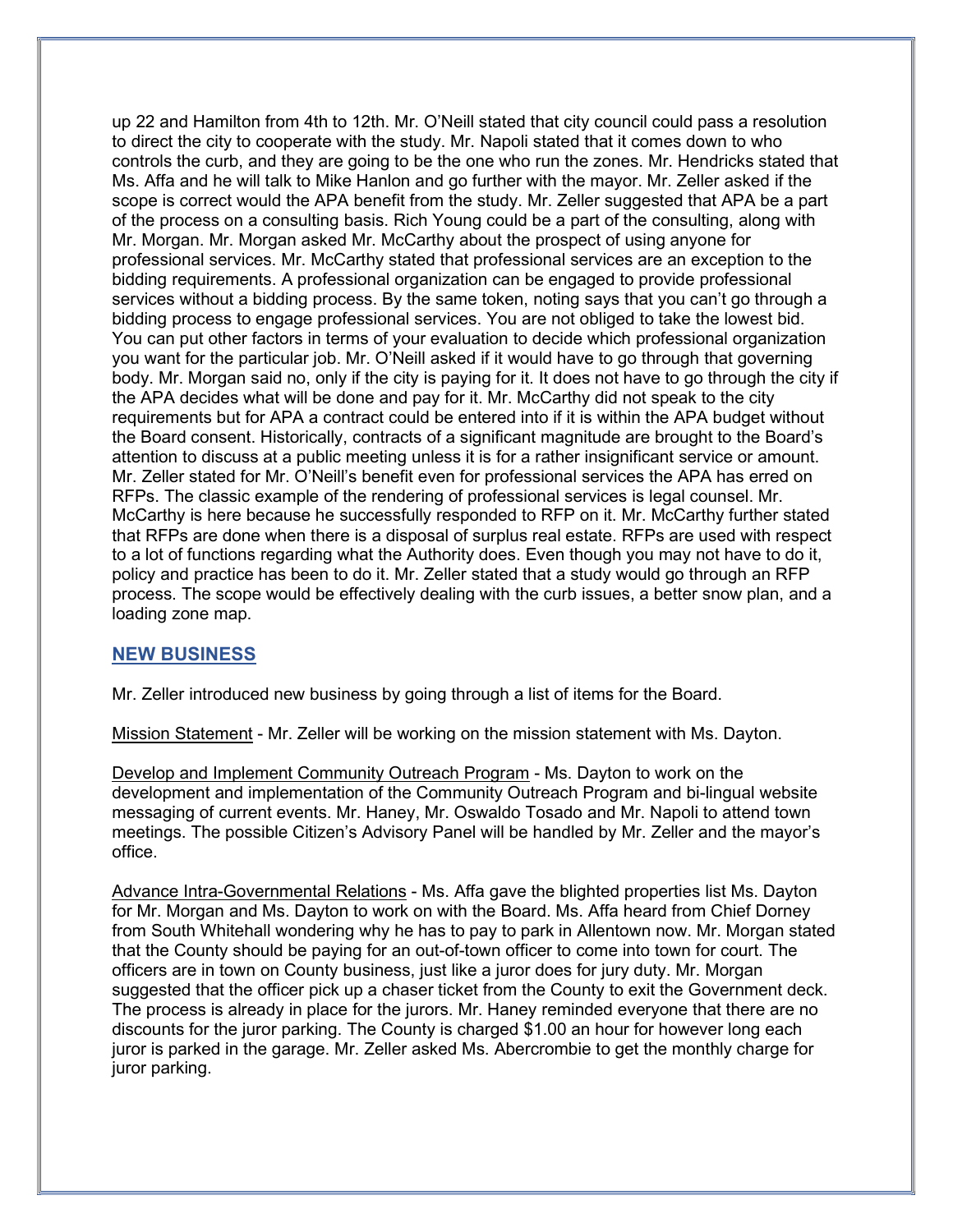up 22 and Hamilton from 4th to 12th. Mr. O'Neill stated that city council could pass a resolution to direct the city to cooperate with the study. Mr. Napoli stated that it comes down to who controls the curb, and they are going to be the one who run the zones. Mr. Hendricks stated that Ms. Affa and he will talk to Mike Hanlon and go further with the mayor. Mr. Zeller asked if the scope is correct would the APA benefit from the study. Mr. Zeller suggested that APA be a part of the process on a consulting basis. Rich Young could be a part of the consulting, along with Mr. Morgan. Mr. Morgan asked Mr. McCarthy about the prospect of using anyone for professional services. Mr. McCarthy stated that professional services are an exception to the bidding requirements. A professional organization can be engaged to provide professional services without a bidding process. By the same token, noting says that you can't go through a bidding process to engage professional services. You are not obliged to take the lowest bid. You can put other factors in terms of your evaluation to decide which professional organization you want for the particular job. Mr. O'Neill asked if it would have to go through that governing body. Mr. Morgan said no, only if the city is paying for it. It does not have to go through the city if the APA decides what will be done and pay for it. Mr. McCarthy did not speak to the city requirements but for APA a contract could be entered into if it is within the APA budget without the Board consent. Historically, contracts of a significant magnitude are brought to the Board's attention to discuss at a public meeting unless it is for a rather insignificant service or amount. Mr. Zeller stated for Mr. O'Neill's benefit even for professional services the APA has erred on RFPs. The classic example of the rendering of professional services is legal counsel. Mr. McCarthy is here because he successfully responded to RFP on it. Mr. McCarthy further stated that RFPs are done when there is a disposal of surplus real estate. RFPs are used with respect to a lot of functions regarding what the Authority does. Even though you may not have to do it, policy and practice has been to do it. Mr. Zeller stated that a study would go through an RFP process. The scope would be effectively dealing with the curb issues, a better snow plan, and a loading zone map.

## NEW BUSINESS

Mr. Zeller introduced new business by going through a list of items for the Board.

Mission Statement - Mr. Zeller will be working on the mission statement with Ms. Dayton.

Develop and Implement Community Outreach Program - Ms. Dayton to work on the development and implementation of the Community Outreach Program and bi-lingual website messaging of current events. Mr. Haney, Mr. Oswaldo Tosado and Mr. Napoli to attend town meetings. The possible Citizen's Advisory Panel will be handled by Mr. Zeller and the mayor's office.

Advance Intra-Governmental Relations - Ms. Affa gave the blighted properties list Ms. Dayton for Mr. Morgan and Ms. Dayton to work on with the Board. Ms. Affa heard from Chief Dorney from South Whitehall wondering why he has to pay to park in Allentown now. Mr. Morgan stated that the County should be paying for an out-of-town officer to come into town for court. The officers are in town on County business, just like a juror does for jury duty. Mr. Morgan suggested that the officer pick up a chaser ticket from the County to exit the Government deck. The process is already in place for the jurors. Mr. Haney reminded everyone that there are no discounts for the juror parking. The County is charged \$1.00 an hour for however long each juror is parked in the garage. Mr. Zeller asked Ms. Abercrombie to get the monthly charge for juror parking.